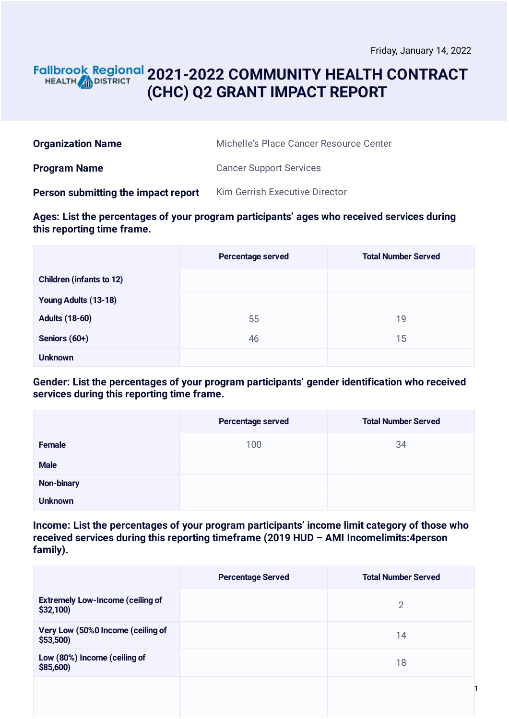## **2021-2022 COMMUNITY HEALTH CONTRACT** HEALTH **AND DISTRICT (CHC) Q2 GRANT IMPACT REPORT**

| <b>Organization Name</b>            | Michelle's Place Cancer Resource Center |
|-------------------------------------|-----------------------------------------|
| <b>Program Name</b>                 | <b>Cancer Support Services</b>          |
| Person submitting the impact report | Kim Gerrish Executive Director          |

**Ages: List the percentages of your program participants' ages who received services during this reporting time frame.**

|                                 | Percentage served | <b>Total Number Served</b> |
|---------------------------------|-------------------|----------------------------|
| <b>Children (infants to 12)</b> |                   |                            |
| Young Adults (13-18)            |                   |                            |
| <b>Adults (18-60)</b>           | 55                | 19                         |
| Seniors (60+)                   | 46                | 15                         |
| <b>Unknown</b>                  |                   |                            |

**Gender: List the percentages of your program participants' gender identification who received services during this reporting time frame.**

|                | Percentage served | <b>Total Number Served</b> |
|----------------|-------------------|----------------------------|
| Female         | 100               | 34                         |
| <b>Male</b>    |                   |                            |
| Non-binary     |                   |                            |
| <b>Unknown</b> |                   |                            |

**Income: List the percentages of your program participants' income limit category of those who received services during this reporting timeframe (2019 HUD – AMI Incomelimits:4person family).**

|                                                      | <b>Percentage Served</b> | <b>Total Number Served</b> |
|------------------------------------------------------|--------------------------|----------------------------|
| <b>Extremely Low-Income (ceiling of</b><br>\$32,100) |                          | $\overline{2}$             |
| Very Low (50%0 Income (ceiling of<br>\$53,500        |                          | 14                         |
| Low (80%) Income (ceiling of<br>\$85,600)            |                          | 18                         |
|                                                      |                          |                            |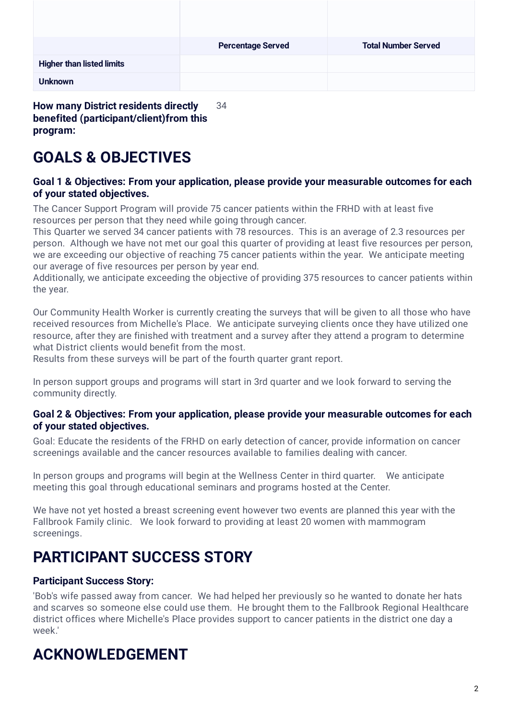|                                  | <b>Percentage Served</b> | <b>Total Number Served</b> |
|----------------------------------|--------------------------|----------------------------|
| <b>Higher than listed limits</b> |                          |                            |
| <b>Unknown</b>                   |                          |                            |

**benefited (participant/client)from this program:**

# **GOALS & OBJECTIVES**

### **Goal 1 & Objectives: From your application, please provide your measurable outcomes for each of your stated objectives.**

The Cancer Support Program will provide 75 cancer patients within the FRHD with at least five resources per person that they need while going through cancer.

This Quarter we served 34 cancer patients with 78 resources. This is an average of 2.3 resources per person. Although we have not met our goal this quarter of providing at least five resources per person, we are exceeding our objective of reaching 75 cancer patients within the year. We anticipate meeting our average of five resources per person by year end.

Additionally, we anticipate exceeding the objective of providing 375 resources to cancer patients within the year.

Our Community Health Worker is currently creating the surveys that will be given to all those who have received resources from Michelle's Place. We anticipate surveying clients once they have utilized one resource, after they are finished with treatment and a survey after they attend a program to determine what District clients would benefit from the most.

Results from these surveys will be part of the fourth quarter grant report.

In person support groups and programs will start in 3rd quarter and we look forward to serving the community directly.

#### **Goal 2 & Objectives: From your application, please provide your measurable outcomes for each of your stated objectives.**

Goal: Educate the residents of the FRHD on early detection of cancer, provide information on cancer screenings available and the cancer resources available to families dealing with cancer.

In person groups and programs will begin at the Wellness Center in third quarter. We anticipate meeting this goal through educational seminars and programs hosted at the Center.

We have not yet hosted a breast screening event however two events are planned this year with the Fallbrook Family clinic. We look forward to providing at least 20 women with mammogram screenings.

## **PARTICIPANT SUCCESS STORY**

## **Participant Success Story:**

'Bob's wife passed away from cancer. We had helped her previously so he wanted to donate her hats and scarves so someone else could use them. He brought them to the Fallbrook Regional Healthcare district offices where Michelle's Place provides support to cancer patients in the district one day a week.'

# **ACKNOWLEDGEMENT**